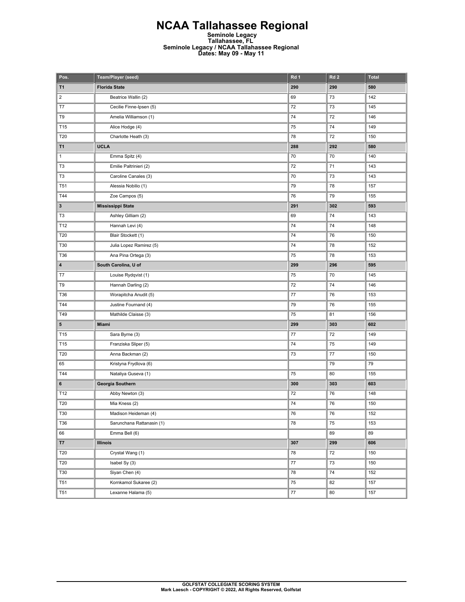## **NCAA Tallahassee Regional Seminole Legacy Tallahassee, FL Seminole Legacy / NCAA Tallahassee Regional Dates: May 09 - May 11**

| Pos.                    | Team/Player (seed)        | Rd 1   | Rd <sub>2</sub> | <b>Total</b> |
|-------------------------|---------------------------|--------|-----------------|--------------|
| <b>T1</b>               | <b>Florida State</b>      | 290    | 290             | 580          |
| $\overline{\mathbf{c}}$ | Beatrice Wallin (2)       | 69     | 73              | 142          |
| T7                      | Cecilie Finne-Ipsen (5)   | 72     | 73              | 145          |
| T9                      | Amelia Williamson (1)     | 74     | 72              | 146          |
| T15                     | Alice Hodge (4)           | 75     | 74              | 149          |
| T20                     | Charlotte Heath (3)       | 78     | 72              | 150          |
| T1                      | <b>UCLA</b>               | 288    | 292             | 580          |
| 1                       | Emma Spitz (4)            | 70     | 70              | 140          |
| T3                      | Emilie Paltrinieri (2)    | 72     | 71              | 143          |
| T3                      | Caroline Canales (3)      | 70     | 73              | 143          |
| <b>T51</b>              | Alessia Nobilio (1)       | 79     | 78              | 157          |
| T44                     | Zoe Campos (5)            | 76     | 79              | 155          |
| 3                       | <b>Mississippi State</b>  | 291    | 302             | 593          |
| T3                      | Ashley Gilliam (2)        | 69     | 74              | 143          |
| T12                     | Hannah Levi (4)           | 74     | 74              | 148          |
| T20                     | Blair Stockett (1)        | 74     | 76              | 150          |
| T30                     | Julia Lopez Ramirez (5)   | 74     | 78              | 152          |
| T36                     | Ana Pina Ortega (3)       | 75     | 78              | 153          |
| 4                       | South Carolina, U of      | 299    | 296             | 595          |
| T7                      | Louise Rydqvist (1)       | 75     | 70              | 145          |
| T9                      | Hannah Darling (2)        | 72     | 74              | 146          |
| T36                     | Worapitcha Anudit (5)     | 77     | 76              | 153          |
| T44                     | Justine Fournand (4)      | 79     | 76              | 155          |
| T49                     | Mathilde Claisse (3)      | 75     | 81              | 156          |
| 5                       | Miami                     | 299    | 303             | 602          |
| T15                     | Sara Byrne (3)            | 77     | 72              | 149          |
| T15                     | Franziska Sliper (5)      | 74     | 75              | 149          |
| T20                     | Anna Backman (2)          | 73     | 77              | 150          |
| 65                      | Kristyna Frydlova (6)     |        | 79              | 79           |
| T44                     | Nataliya Guseva (1)       | 75     | 80              | 155          |
| 6                       | Georgia Southern          | 300    | 303             | 603          |
| T12                     | Abby Newton (3)           | 72     | 76              | 148          |
| T20                     | Mia Kness (2)             | 74     | 76              | 150          |
| T30                     | Madison Heideman (4)      | 76     | 76              | 152          |
| T36                     | Sarunchana Rattanasin (1) | 78     | 75              | 153          |
| 66                      | Emma Bell (6)             |        | 89              | 89           |
| T7                      | <b>Illinois</b>           | 307    | 299             | 606          |
| <b>T20</b>              | Crystal Wang (1)          | 78     | 72              | 150          |
| T20                     | Isabel Sy (3)             | $77\,$ | 73              | 150          |
| T30                     | Siyan Chen (4)            | 78     | 74              | 152          |
| <b>T51</b>              | Kornkamol Sukaree (2)     | 75     | 82              | 157          |
| T51                     | Lexanne Halama (5)        | 77     | 80              | 157          |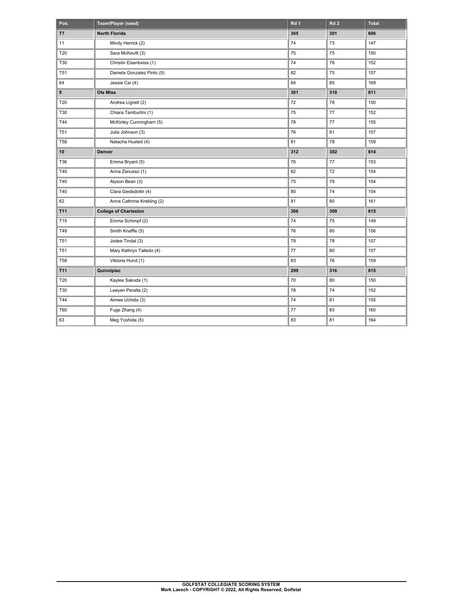| Pos.            | Team/Player (seed)           | Rd <sub>1</sub> | Rd <sub>2</sub> | <b>Total</b> |
|-----------------|------------------------------|-----------------|-----------------|--------------|
| T7              | <b>North Florida</b>         | 305             | 301             | 606          |
| 11              | Mindy Herrick (2)            | 74              | 73              | 147          |
| T20             | Sara McKevitt (3)            | 75              | 75              | 150          |
| <b>T30</b>      | Christin Eisenbeiss (1)      | 74              | 78              | 152          |
| <b>T51</b>      | Daniela Gonzalez Pinto (5)   | 82              | 75              | 157          |
| 64              | Jessie Cai (4)               | 84              | 85              | 169          |
| 9               | <b>Ole Miss</b>              | 301             | 310             | 611          |
| T20             | Andrea Lignell (2)           | 72              | 78              | 150          |
| T30             | Chiara Tamburlini (1)        | 75              | 77              | 152          |
| T44             | McKinley Cunningham (5)      | 78              | 77              | 155          |
| <b>T51</b>      | Julia Johnson (3)            | 76              | 81              | 157          |
| T58             | Natacha Husted (4)           | 81              | 78              | 159          |
| 10              | Denver                       | 312             | 302             | 614          |
| T36             | Emma Bryant (5)              | 76              | 77              | 153          |
| T40             | Anna Zanusso (1)             | 82              | 72              | 154          |
| T40             | Alyson Bean (3)              | 75              | 79              | 154          |
| T40             | Clara Gestsdottir (4)        | 80              | 74              | 154          |
| 62              | Anna Cathrine Krekling (2)   | 81              | 80              | 161          |
| T11             | <b>College of Charleston</b> | 306             | 309             | 615          |
| T15             | Emma Schimpf (2)             | 74              | 75              | 149          |
| T49             | Smith Knaffle (5)            | 76              | 80              | 156          |
| T <sub>51</sub> | Jodee Tindal (3)             | 79              | 78              | 157          |
| T <sub>51</sub> | Mary Kathryn Talledo (4)     | 77              | 80              | 157          |
| T58             | Viktoria Hund (1)            | 83              | 76              | 159          |
| T11             | Quinnipiac                   | 299             | 316             | 615          |
| <b>T20</b>      | Kaylee Sakoda (1)            | 70              | 80              | 150          |
| T30             | Leeyen Peralta (2)           | 78              | 74              | 152          |
| T44             | Aimee Uchida (3)             | 74              | 81              | 155          |
| T60             | Fuge Zhang (4)               | $77 \,$         | 83              | 160          |
| 63              | Meg Yoshida (5)              | 83              | 81              | 164          |